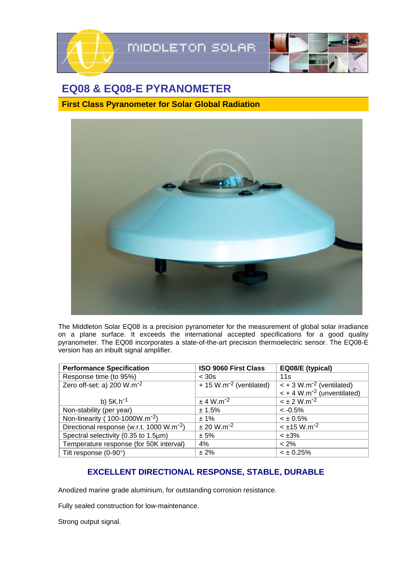

## **EQ08 & EQ08-E PYRANOMETER**

**First Class Pyranometer for Solar Global Radiation** 



The Middleton Solar EQ08 is a precision pyranometer for the measurement of global solar irradiance on a plane surface. It exceeds the international accepted specifications for a good quality pyranometer. The EQ08 incorporates a state-of-the-art precision thermoelectric sensor. The EQ08-E version has an inbuilt signal amplifier.

| <b>Performance Specification</b>                      | <b>ISO 9060 First Class</b>           | EQ08/E (typical)                          |
|-------------------------------------------------------|---------------------------------------|-------------------------------------------|
| Response time (to 95%)                                | $<$ 30s                               | 11s                                       |
| Zero off-set: a) 200 W.m <sup>-2</sup>                | $+ 15$ W.m <sup>-2</sup> (ventilated) | $\leq$ + 3 W.m <sup>-2</sup> (ventilated) |
|                                                       |                                       | $<$ + 4 W.m <sup>-2</sup> (unventilated)  |
| b) $5K.h^{-1}$                                        | $\pm$ 4 W.m <sup>-2</sup>             | $< \pm 2$ W.m <sup>-2</sup>               |
| Non-stability (per year)                              | ± 1.5%                                | $<-0.5%$                                  |
| Non-linearity (100-1000W.m <sup>-2</sup> )            | $± 1\%$                               | $< \pm 0.5\%$                             |
| Directional response (w.r.t. 1000 W.m <sup>-2</sup> ) | $± 20 W.m-2$                          | $<$ ±15 W.m <sup>-2</sup>                 |
| Spectral selectivity (0.35 to 1.5µm)                  | ± 5%                                  | $< \pm 3\%$                               |
| Temperature response (for 50K interval)               | 4%                                    | $< 2\%$                                   |
| Tilt response $(0-90^\circ)$                          | ± 2%                                  | $< \pm 0.25\%$                            |

## **EXCELLENT DIRECTIONAL RESPONSE, STABLE, DURABLE**

Anodized marine grade aluminium, for outstanding corrosion resistance.

Fully sealed construction for low-maintenance.

Strong output signal.